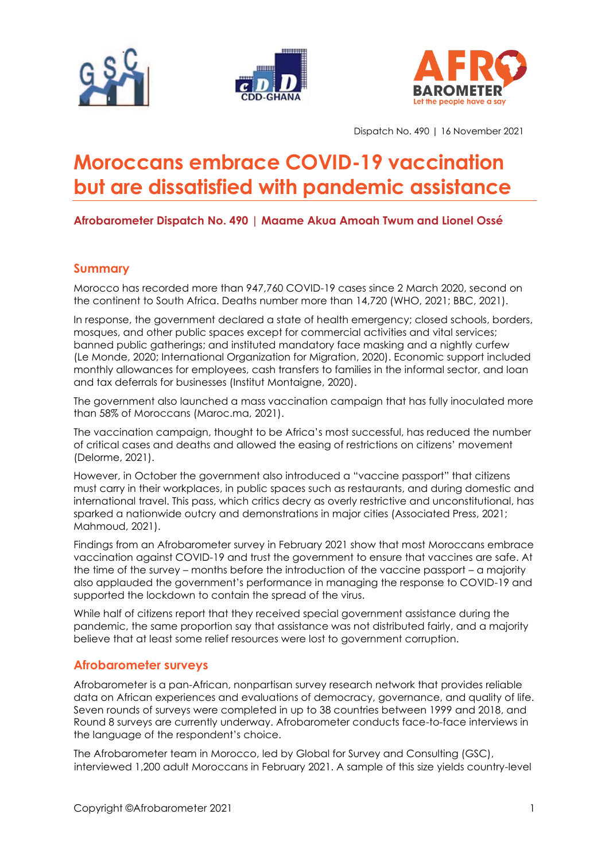





Dispatch No. 490 | 16 November 2021

# **Moroccans embrace COVID-19 vaccination but are dissatisfied with pandemic assistance**

**Afrobarometer Dispatch No. 490 | Maame Akua Amoah Twum and Lionel Ossé**

# **Summary**

Morocco has recorded more than 947,760 COVID-19 cases since 2 March 2020, second on the continent to South Africa. Deaths number more than 14,720 (WHO, 2021; BBC, 2021).

In response, the government declared a state of health emergency; closed schools, borders, mosques, and other public spaces except for commercial activities and vital services; banned public gatherings; and instituted mandatory face masking and a nightly curfew (Le Monde, 2020; International Organization for Migration, 2020). Economic support included monthly allowances for employees, cash transfers to families in the informal sector, and loan and tax deferrals for businesses (Institut Montaigne, 2020).

The government also launched a mass vaccination campaign that has fully inoculated more than 58% of Moroccans (Maroc.ma, 2021).

The vaccination campaign, thought to be Africa's most successful, has reduced the number of critical cases and deaths and allowed the easing of restrictions on citizens' movement (Delorme, 2021).

However, in October the government also introduced a "vaccine passport" that citizens must carry in their workplaces, in public spaces such as restaurants, and during domestic and international travel. This pass, which critics decry as overly restrictive and unconstitutional, has sparked a nationwide outcry and demonstrations in major cities (Associated Press, 2021; Mahmoud, 2021).

Findings from an Afrobarometer survey in February 2021 show that most Moroccans embrace vaccination against COVID-19 and trust the government to ensure that vaccines are safe. At the time of the survey – months before the introduction of the vaccine passport – a majority also applauded the government's performance in managing the response to COVID-19 and supported the lockdown to contain the spread of the virus.

While half of citizens report that they received special government assistance during the pandemic, the same proportion say that assistance was not distributed fairly, and a majority believe that at least some relief resources were lost to government corruption.

### **Afrobarometer surveys**

Afrobarometer is a pan-African, nonpartisan survey research network that provides reliable data on African experiences and evaluations of democracy, governance, and quality of life. Seven rounds of surveys were completed in up to 38 countries between 1999 and 2018, and Round 8 surveys are currently underway. Afrobarometer conducts face-to-face interviews in the language of the respondent's choice.

The Afrobarometer team in Morocco, led by Global for Survey and Consulting (GSC), interviewed 1,200 adult Moroccans in February 2021. A sample of this size yields country-level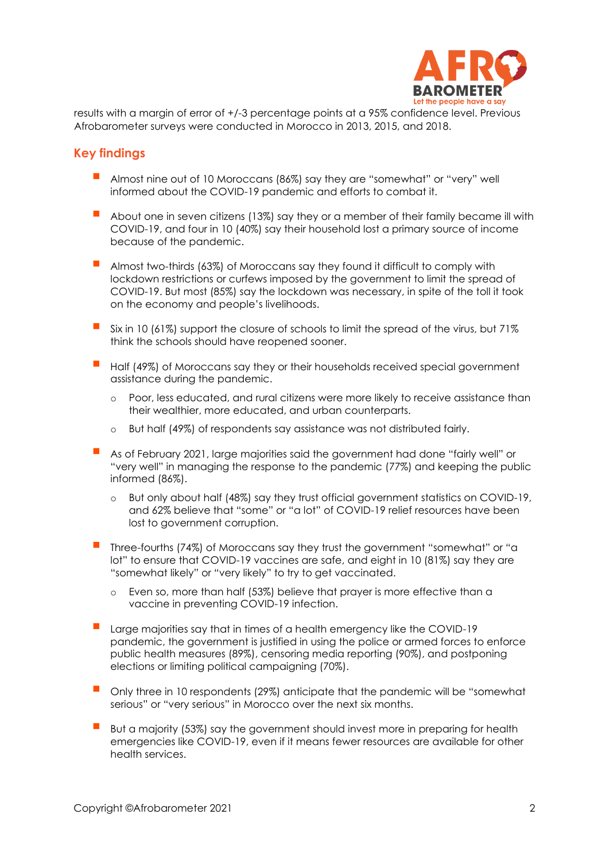

results with a margin of error of +/-3 percentage points at a 95% confidence level. Previous Afrobarometer surveys were conducted in Morocco in 2013, 2015, and 2018.

### **Key findings**

- Almost nine out of 10 Moroccans (86%) say they are "somewhat" or "very" well informed about the COVID-19 pandemic and efforts to combat it.
- About one in seven citizens (13%) say they or a member of their family became ill with COVID-19, and four in 10 (40%) say their household lost a primary source of income because of the pandemic.
- Almost two-thirds (63%) of Moroccans say they found it difficult to comply with lockdown restrictions or curfews imposed by the government to limit the spread of COVID-19. But most (85%) say the lockdown was necessary, in spite of the toll it took on the economy and people's livelihoods.
- Six in 10 (61%) support the closure of schools to limit the spread of the virus, but 71% think the schools should have reopened sooner.
- Half (49%) of Moroccans say they or their households received special government assistance during the pandemic.
	- Poor, less educated, and rural citizens were more likely to receive assistance than their wealthier, more educated, and urban counterparts.
	- o But half (49%) of respondents say assistance was not distributed fairly.
- As of February 2021, large majorities said the government had done "fairly well" or "very well" in managing the response to the pandemic (77%) and keeping the public informed (86%).
	- o But only about half (48%) say they trust official government statistics on COVID-19, and 62% believe that "some" or "a lot" of COVID-19 relief resources have been lost to government corruption.
- Three-fourths (74%) of Moroccans say they trust the government "somewhat" or "a lot" to ensure that COVID-19 vaccines are safe, and eight in 10 (81%) say they are "somewhat likely" or "very likely" to try to get vaccinated.
	- o Even so, more than half (53%) believe that prayer is more effective than a vaccine in preventing COVID-19 infection.
- Large majorities say that in times of a health emergency like the COVID-19 pandemic, the government is justified in using the police or armed forces to enforce public health measures (89%), censoring media reporting (90%), and postponing elections or limiting political campaigning (70%).
- Only three in 10 respondents (29%) anticipate that the pandemic will be "somewhat serious" or "very serious" in Morocco over the next six months.
- But a majority (53%) say the government should invest more in preparing for health emergencies like COVID-19, even if it means fewer resources are available for other health services.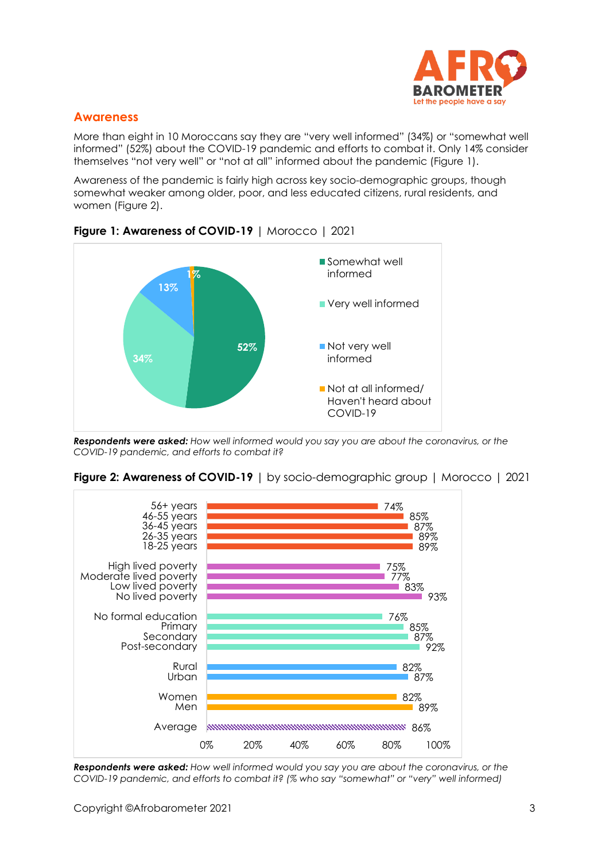

### **Awareness**

More than eight in 10 Moroccans say they are "very well informed" (34%) or "somewhat well informed" (52%) about the COVID-19 pandemic and efforts to combat it. Only 14% consider themselves "not very well" or "not at all" informed about the pandemic (Figure 1).

Awareness of the pandemic is fairly high across key socio-demographic groups, though somewhat weaker among older, poor, and less educated citizens, rural residents, and women (Figure 2).



**Figure 1: Awareness of COVID-19** | Morocco | 2021

*Respondents were asked: How well informed would you say you are about the coronavirus, or the COVID-19 pandemic, and efforts to combat it?*



**Figure 2: Awareness of COVID-19** | by socio-demographic group | Morocco | 2021

*Respondents were asked: How well informed would you say you are about the coronavirus, or the COVID-19 pandemic, and efforts to combat it? (% who say "somewhat" or "very" well informed)*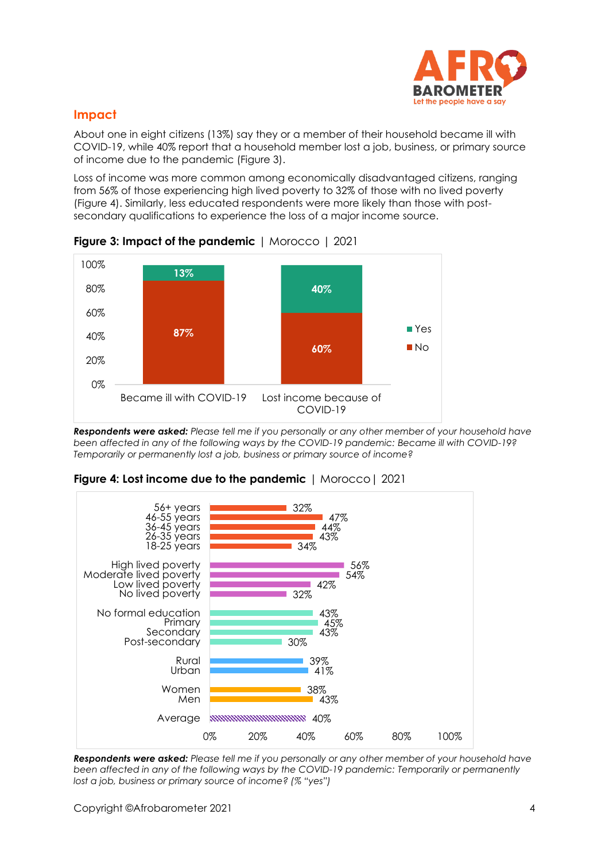

# **Impact**

About one in eight citizens (13%) say they or a member of their household became ill with COVID-19, while 40% report that a household member lost a job, business, or primary source of income due to the pandemic (Figure 3).

Loss of income was more common among economically disadvantaged citizens, ranging from 56% of those experiencing high lived poverty to 32% of those with no lived poverty (Figure 4). Similarly, less educated respondents were more likely than those with postsecondary qualifications to experience the loss of a major income source.





*Respondents were asked: Please tell me if you personally or any other member of your household have been affected in any of the following ways by the COVID-19 pandemic: Became ill with COVID-19? Temporarily or permanently lost a job, business or primary source of income?*



**Figure 4: Lost income due to the pandemic** | Morocco| 2021

*Respondents were asked: Please tell me if you personally or any other member of your household have been affected in any of the following ways by the COVID-19 pandemic: Temporarily or permanently lost a job, business or primary source of income? (% "yes")*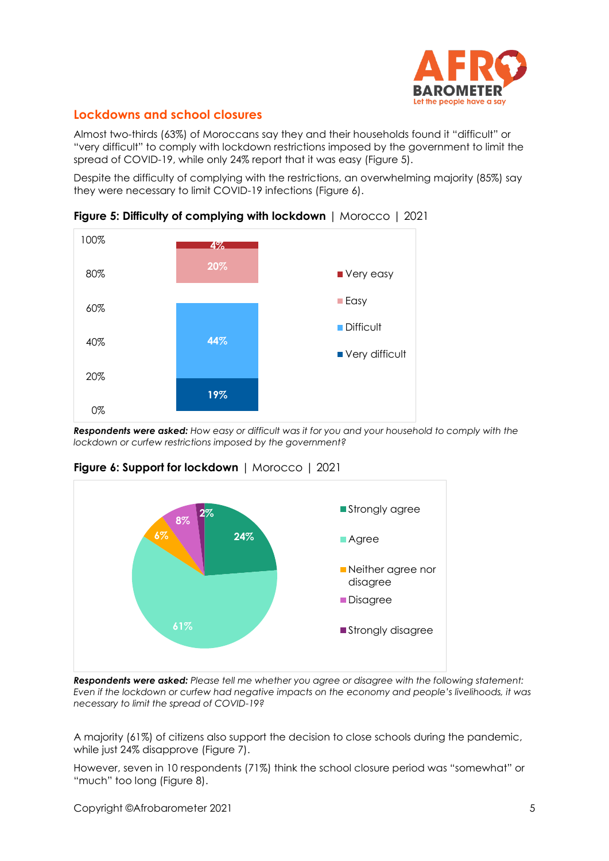

# **Lockdowns and school closures**

Almost two-thirds (63%) of Moroccans say they and their households found it "difficult" or "very difficult" to comply with lockdown restrictions imposed by the government to limit the spread of COVID-19, while only 24% report that it was easy (Figure 5).

Despite the difficulty of complying with the restrictions, an overwhelming majority (85%) say they were necessary to limit COVID-19 infections (Figure 6).



**Figure 5: Difficulty of complying with lockdown** | Morocco | 2021

*Respondents were asked: How easy or difficult was it for you and your household to comply with the lockdown or curfew restrictions imposed by the government?*



**Figure 6: Support for lockdown** | Morocco | 2021

*Respondents were asked: Please tell me whether you agree or disagree with the following statement: Even if the lockdown or curfew had negative impacts on the economy and people's livelihoods, it was necessary to limit the spread of COVID-19?*

A majority (61%) of citizens also support the decision to close schools during the pandemic, while just 24% disapprove (Figure 7).

However, seven in 10 respondents (71%) think the school closure period was "somewhat" or "much" too long (Figure 8).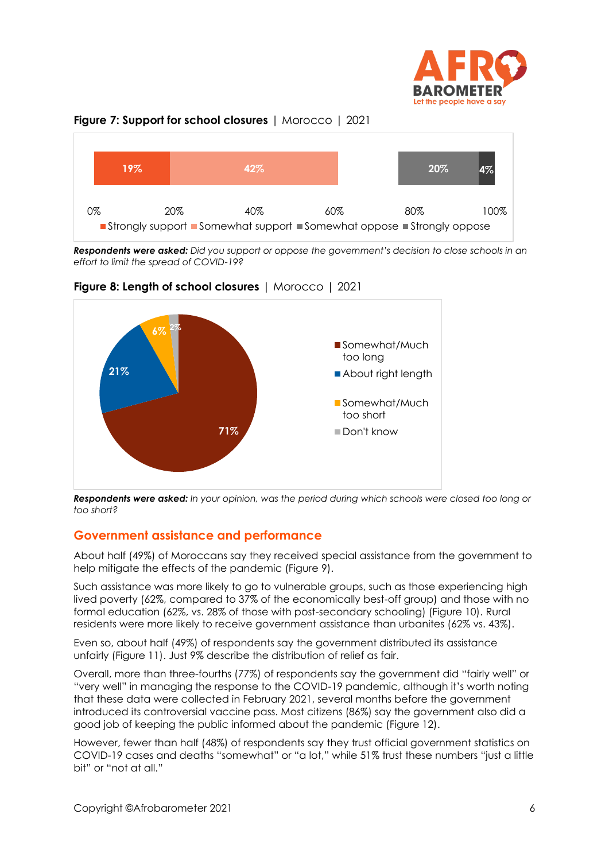





*Respondents were asked: Did you support or oppose the government's decision to close schools in an effort to limit the spread of COVID-19?*



**Figure 8: Length of school closures** | Morocco | 2021

*Respondents were asked: In your opinion, was the period during which schools were closed too long or too short?*

### **Government assistance and performance**

About half (49%) of Moroccans say they received special assistance from the government to help mitigate the effects of the pandemic (Figure 9).

Such assistance was more likely to go to vulnerable groups, such as those experiencing high lived poverty (62%, compared to 37% of the economically best-off group) and those with no formal education (62%, vs. 28% of those with post-secondary schooling) (Figure 10). Rural residents were more likely to receive government assistance than urbanites (62% vs. 43%).

Even so, about half (49%) of respondents say the government distributed its assistance unfairly (Figure 11). Just 9% describe the distribution of relief as fair.

Overall, more than three-fourths (77%) of respondents say the government did "fairly well" or "very well" in managing the response to the COVID-19 pandemic, although it's worth noting that these data were collected in February 2021, several months before the government introduced its controversial vaccine pass. Most citizens (86%) say the government also did a good job of keeping the public informed about the pandemic (Figure 12).

However, fewer than half (48%) of respondents say they trust official government statistics on COVID-19 cases and deaths "somewhat" or "a lot," while 51% trust these numbers "just a little bit" or "not at all."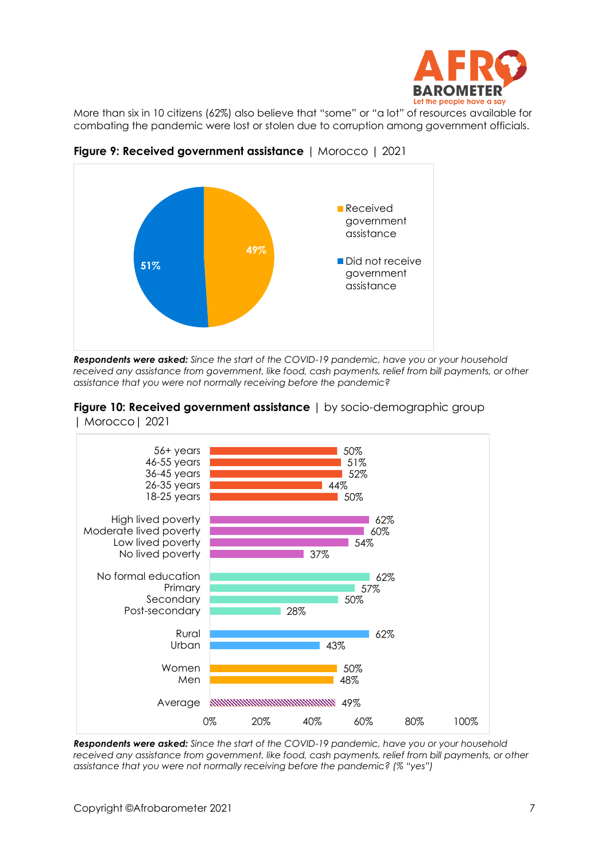

More than six in 10 citizens (62%) also believe that "some" or "a lot" of resources available for combating the pandemic were lost or stolen due to corruption among government officials.



**Figure 9: Received government assistance** | Morocco | 2021

*Respondents were asked: Since the start of the COVID-19 pandemic, have you or your household*  received any assistance from government, like food, cash payments, relief from bill payments, or other *assistance that you were not normally receiving before the pandemic?*



**Figure 10: Received government assistance** | by socio-demographic group | Morocco| 2021

*Respondents were asked: Since the start of the COVID-19 pandemic, have you or your household*  received any assistance from government, like food, cash payments, relief from bill payments, or other *assistance that you were not normally receiving before the pandemic? (% "yes")*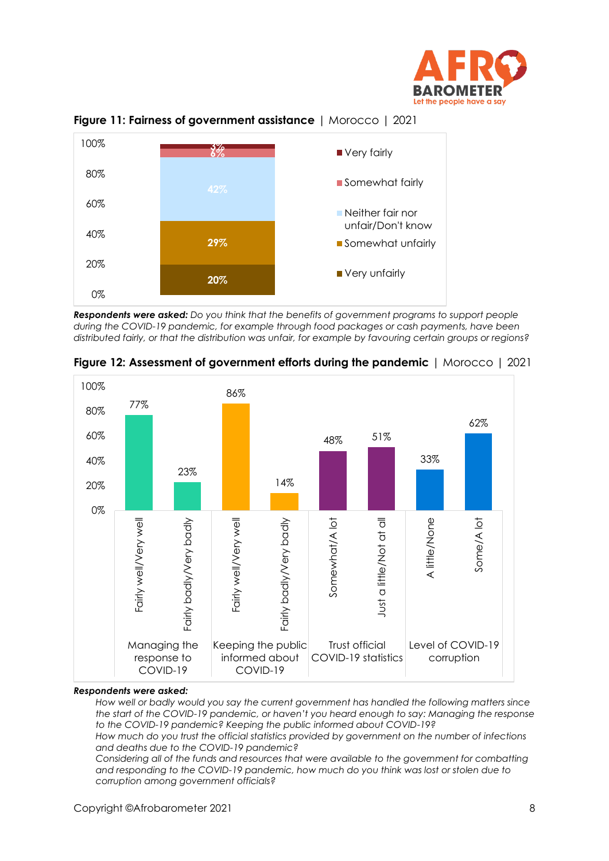



**Figure 11: Fairness of government assistance** | Morocco | 2021

*Respondents were asked: Do you think that the benefits of government programs to support people during the COVID-19 pandemic, for example through food packages or cash payments, have been distributed fairly, or that the distribution was unfair, for example by favouring certain groups or regions?*



**Figure 12: Assessment of government efforts during the pandemic** | Morocco | 2021

#### *Respondents were asked:*

*How well or badly would you say the current government has handled the following matters since the start of the COVID-19 pandemic, or haven't you heard enough to say: Managing the response to the COVID-19 pandemic? Keeping the public informed about COVID-19?*

*How much do you trust the official statistics provided by government on the number of infections and deaths due to the COVID-19 pandemic?*

*Considering all of the funds and resources that were available to the government for combatting and responding to the COVID-19 pandemic, how much do you think was lost or stolen due to corruption among government officials?*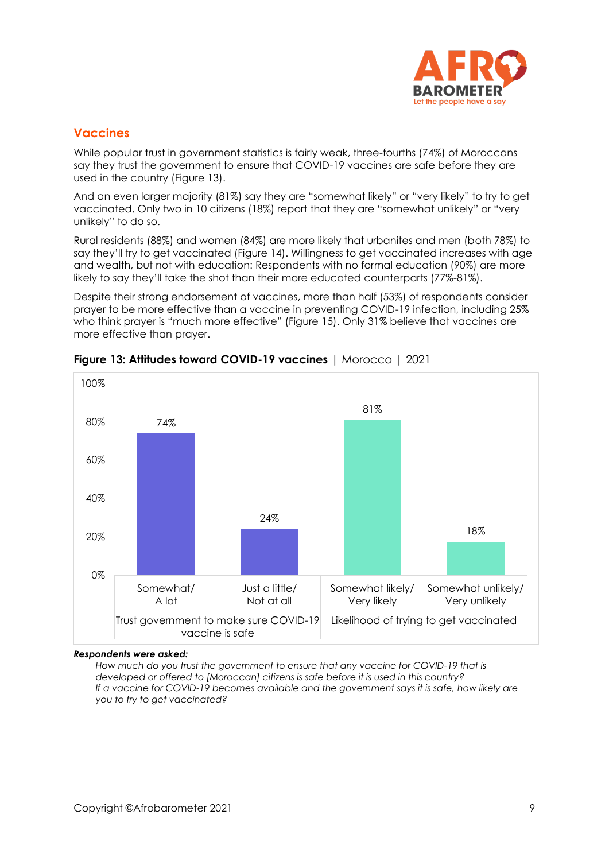

### **Vaccines**

While popular trust in government statistics is fairly weak, three-fourths (74%) of Moroccans say they trust the government to ensure that COVID-19 vaccines are safe before they are used in the country (Figure 13).

And an even larger majority (81%) say they are "somewhat likely" or "very likely" to try to get vaccinated. Only two in 10 citizens (18%) report that they are "somewhat unlikely" or "very unlikely" to do so.

Rural residents (88%) and women (84%) are more likely that urbanites and men (both 78%) to say they'll try to get vaccinated (Figure 14). Willingness to get vaccinated increases with gae and wealth, but not with education: Respondents with no formal education (90%) are more likely to say they'll take the shot than their more educated counterparts (77%-81%).

Despite their strong endorsement of vaccines, more than half (53%) of respondents consider prayer to be more effective than a vaccine in preventing COVID-19 infection, including 25% who think prayer is "much more effective" (Figure 15). Only 31% believe that vaccines are more effective than prayer.



**Figure 13: Attitudes toward COVID-19 vaccines** | Morocco | 2021

#### *Respondents were asked:*

*How much do you trust the government to ensure that any vaccine for COVID-19 that is developed or offered to [Moroccan] citizens is safe before it is used in this country? If a vaccine for COVID-19 becomes available and the government says it is safe, how likely are you to try to get vaccinated?*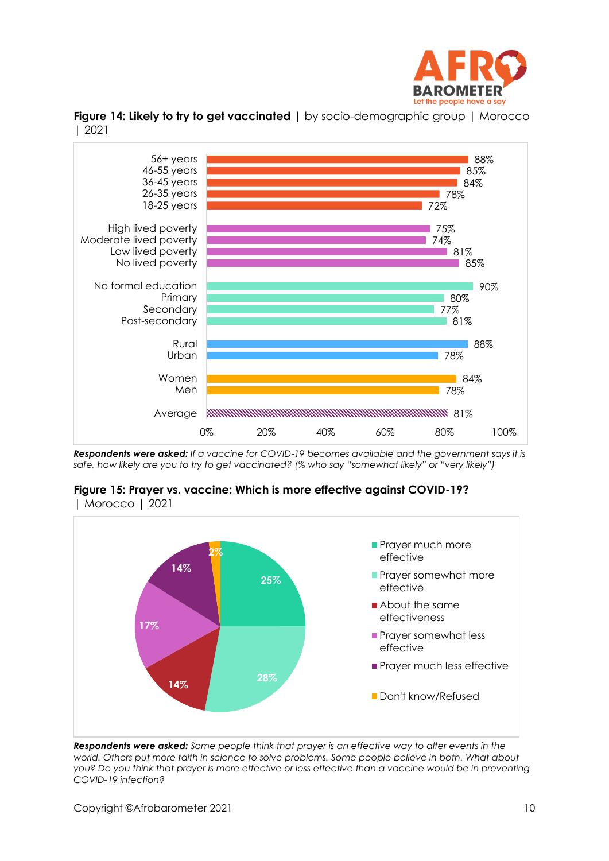

**Figure 14: Likely to try to get vaccinated** | by socio-demographic group | Morocco | 2021



*Respondents were asked: If a vaccine for COVID-19 becomes available and the government says it is safe, how likely are you to try to get vaccinated? (% who say "somewhat likely" or "very likely")*





*Respondents were asked: Some people think that prayer is an effective way to alter events in the world. Others put more faith in science to solve problems. Some people believe in both. What about you? Do you think that prayer is more effective or less effective than a vaccine would be in preventing COVID-19 infection?*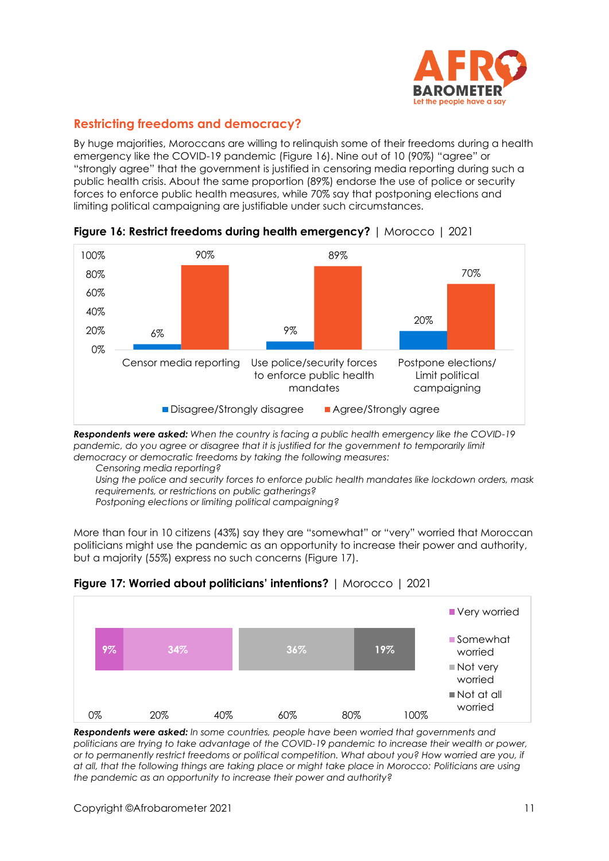

# **Restricting freedoms and democracy?**

By huge majorities, Moroccans are willing to relinquish some of their freedoms during a health emergency like the COVID-19 pandemic (Figure 16). Nine out of 10 (90%) "agree" or "strongly agree" that the government is justified in censoring media reporting during such a public health crisis. About the same proportion (89%) endorse the use of police or security forces to enforce public health measures, while 70% say that postponing elections and limiting political campaigning are justifiable under such circumstances.



**Figure 16: Restrict freedoms during health emergency?** | Morocco | 2021

*Respondents were asked: When the country is facing a public health emergency like the COVID-19*  pandemic, do you agree or disagree that it is justified for the government to temporarily limit *democracy or democratic freedoms by taking the following measures:*

*Censoring media reporting?*

*Using the police and security forces to enforce public health mandates like lockdown orders, mask requirements, or restrictions on public gatherings?*

*Postponing elections or limiting political campaigning?*

More than four in 10 citizens (43%) say they are "somewhat" or "very" worried that Moroccan politicians might use the pandemic as an opportunity to increase their power and authority, but a majority (55%) express no such concerns (Figure 17).



**Figure 17: Worried about politicians' intentions?** | Morocco | 2021

*Respondents were asked: In some countries, people have been worried that governments and politicians are trying to take advantage of the COVID-19 pandemic to increase their wealth or power, or to permanently restrict freedoms or political competition. What about you? How worried are you, if at all, that the following things are taking place or might take place in Morocco: Politicians are using the pandemic as an opportunity to increase their power and authority?*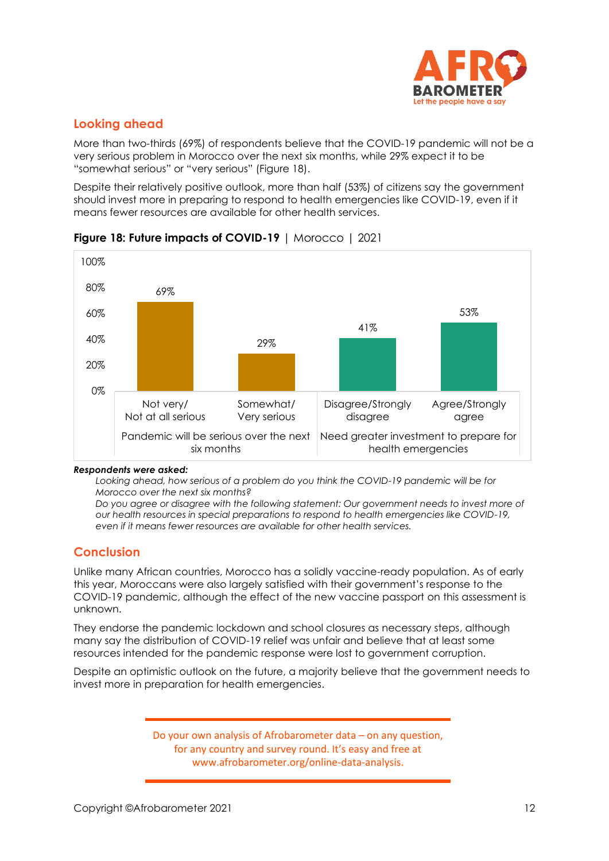

# **Looking ahead**

More than two-thirds (69%) of respondents believe that the COVID-19 pandemic will not be a very serious problem in Morocco over the next six months, while 29% expect it to be "somewhat serious" or "very serious" (Figure 18).

Despite their relatively positive outlook, more than half (53%) of citizens say the government should invest more in preparing to respond to health emergencies like COVID-19, even if it means fewer resources are available for other health services.



**Figure 18: Future impacts of COVID-19** | Morocco | 2021

#### *Respondents were asked:*

*Looking ahead, how serious of a problem do you think the COVID-19 pandemic will be for Morocco over the next six months?*

*Do you agree or disagree with the following statement: Our government needs to invest more of our health resources in special preparations to respond to health emergencies like COVID-19, even if it means fewer resources are available for other health services.*

# **Conclusion**

Unlike many African countries, Morocco has a solidly vaccine-ready population. As of early this year, Moroccans were also largely satisfied with their government's response to the COVID-19 pandemic, although the effect of the new vaccine passport on this assessment is unknown.

They endorse the pandemic lockdown and school closures as necessary steps, although many say the distribution of COVID-19 relief was unfair and believe that at least some resources intended for the pandemic response were lost to government corruption.

Despite an optimistic outlook on the future, a majority believe that the government needs to invest more in preparation for health emergencies.

> Do your own analysis of Afrobarometer data – on any question, for any country and survey round. It's easy and free at www.afrobarometer.org/online-data-analysis.